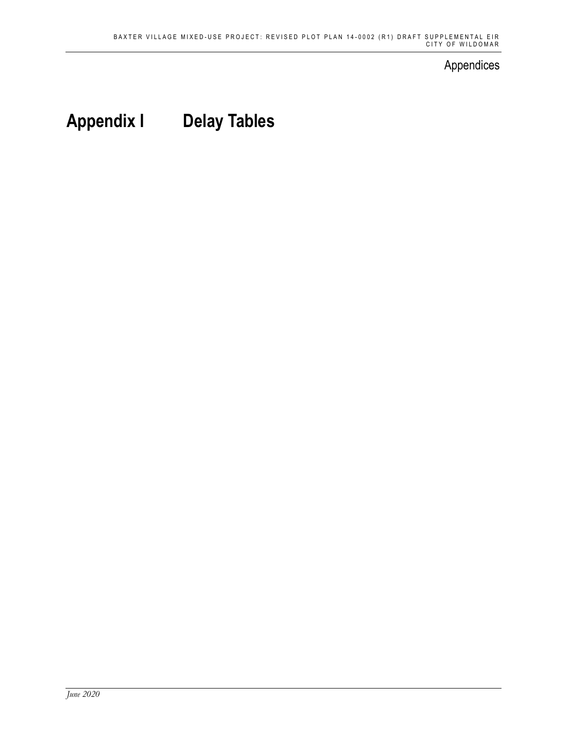### Appendices

# **Appendix I Delay Tables**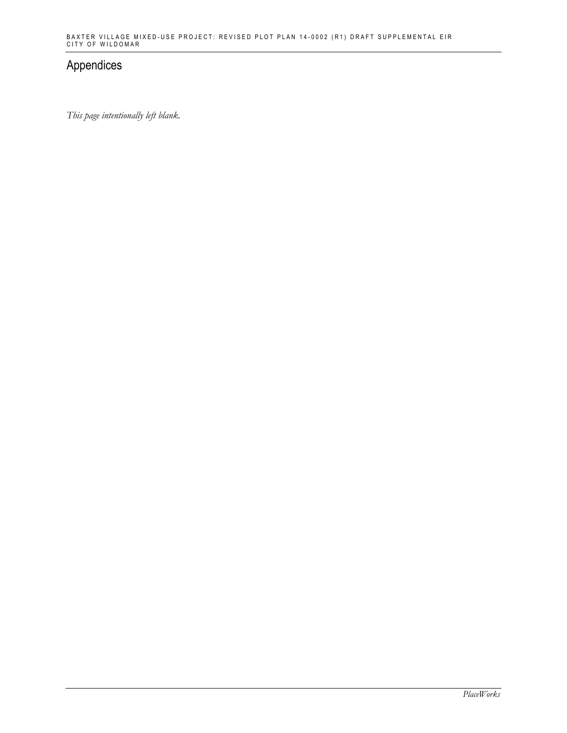## Appendices

*This page intentionally left blank.*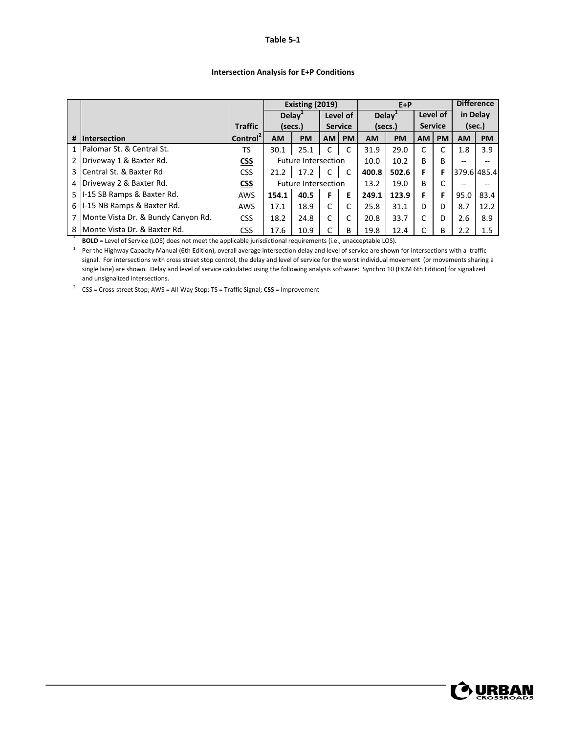#### **Table 5‐1**

|                |                                      |                      | Existing (2019)            |           |                |           | $E+P$              |           |                |              | <b>Difference</b> |             |
|----------------|--------------------------------------|----------------------|----------------------------|-----------|----------------|-----------|--------------------|-----------|----------------|--------------|-------------------|-------------|
|                |                                      |                      | Delay <sup>1</sup>         |           | Level of       |           | Delav <sup>1</sup> |           | Level of       |              | in Delay          |             |
|                |                                      | <b>Traffic</b>       | (secs.)                    |           | <b>Service</b> |           | (secs.)            |           | <b>Service</b> |              | (sec.)            |             |
| #              | Intersection                         | Control <sup>2</sup> | <b>AM</b>                  | <b>PM</b> | <b>AM</b>      | <b>PM</b> | <b>AM</b>          | <b>PM</b> | <b>AM</b>      | <b>PM</b>    | <b>AM</b>         | <b>PM</b>   |
|                | 1 Palomar St. & Central St.          | TS                   | 30.1                       | 25.1      | C              | C         | 31.9               | 29.0      | C              |              | 1.8               | 3.9         |
| $\overline{2}$ | Driveway 1 & Baxter Rd.              | <u>CSS</u>           | <b>Future Intersection</b> |           |                |           | 10.0               | 10.2      | B              | <sub>B</sub> | --                | --          |
|                | 3 Central St. & Baxter Rd            | <b>CSS</b>           | 21.2                       | 17.2      | $\mathsf{C}$   | <b>C</b>  | 400.8              | 502.6     | F              | F            |                   | 379.6 485.4 |
| 4              | Driveway 2 & Baxter Rd.              | <b>CSS</b>           | <b>Future Intersection</b> |           |                |           | 13.2               | 19.0      | B              |              | --                | --          |
|                | 5   I-15 SB Ramps & Baxter Rd.       | AWS                  | 154.1                      | 40.5      | F              | Е         | 249.1              | 123.9     | F              | F            | 95.0              | 83.4        |
|                | 6   I-15 NB Ramps & Baxter Rd.       | <b>AWS</b>           | 17.1                       | 18.9      | $\mathsf{C}$   | C         | 25.8               | 31.1      | D              | D            | 8.7               | 12.2        |
|                | 7 Monte Vista Dr. & Bundy Canyon Rd. | <b>CSS</b>           | 18.2                       | 24.8      | $\mathsf{C}$   | C         | 20.8               | 33.7      | C              | D            | 2.6               | 8.9         |
|                | 8   Monte Vista Dr. & Baxter Rd.     | <b>CSS</b>           | 17.6                       | 10.9      |                | B         | 19.8               | 12.4      |                | B            | 2.2               | 1.5         |

#### **Intersection Analysis for E+P Conditions**

\* **BOLD** = Level of Service (LOS) does not meet the applicable jurisdictional requirements (i.e., unacceptable LOS).

 $1$  Per the Highway Capacity Manual (6th Edition), overall average intersection delay and level of service are shown for intersections with a traffic signal. For intersections with cross street stop control, the delay and level of service for the worst individual movement (or movements sharing a single lane) are shown. Delay and level of service calculated using the following analysis software: Synchro 10 (HCM 6th Edition) for signalized and unsignalized intersections.

<sup>2</sup> CSS = Cross‐street Stop; AWS = All‐Way Stop; TS = Traffic Signal; **CSS** = Improvement

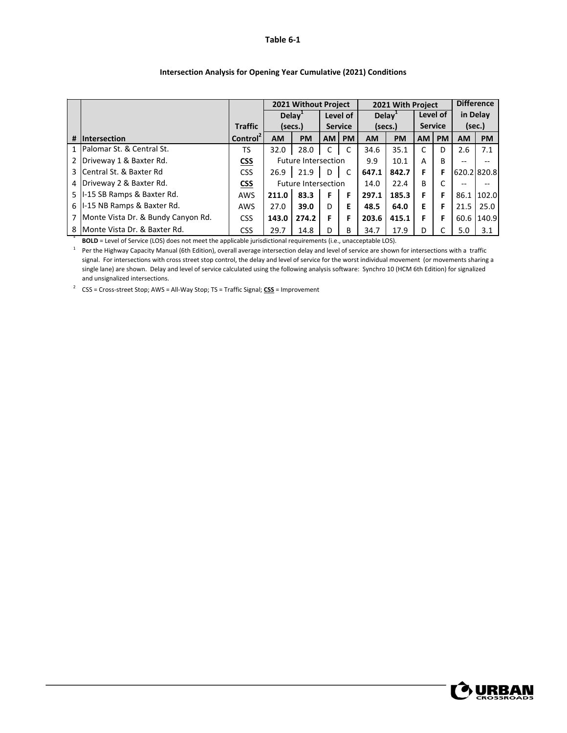#### **Table 6‐1**

|                |                                      |                      | 2021 Without Project       |           |                |           | 2021 With Project  |           |                |           | <b>Difference</b> |             |
|----------------|--------------------------------------|----------------------|----------------------------|-----------|----------------|-----------|--------------------|-----------|----------------|-----------|-------------------|-------------|
|                |                                      |                      | Delay <sup>+</sup>         |           | Level of       |           | Delay <sup>+</sup> |           | Level of       |           | in Delay          |             |
|                |                                      | <b>Traffic</b>       | (secs.)                    |           | <b>Service</b> |           | (secs.)            |           | <b>Service</b> |           | (sec.)            |             |
| #              | Intersection                         | Control <sup>2</sup> | <b>AM</b>                  | <b>PM</b> | <b>AM</b>      | <b>PM</b> | <b>AM</b>          | <b>PM</b> | АM             | <b>PM</b> | <b>AM</b>         | <b>PM</b>   |
|                | 1 Palomar St. & Central St.          | <b>TS</b>            | 32.0                       | 28.0      | C              | C         | 34.6               | 35.1      | C              | D         | 2.6               | 7.1         |
|                | Driveway 1 & Baxter Rd.              | <b>CSS</b>           | <b>Future Intersection</b> |           |                |           | 9.9                | 10.1      | A              | B         | $\qquad \qquad -$ | $- -$       |
| 3 I            | Central St. & Baxter Rd              | <b>CSS</b>           | 26.9                       | 21.9      | D              | C         | 647.1              | 842.7     | F              | F         |                   | 620.2 820.8 |
| 4 <sup>1</sup> | Driveway 2 & Baxter Rd.              | <b>CSS</b>           | <b>Future Intersection</b> |           |                |           | 14.0               | 22.4      | B              | C         | $\qquad \qquad -$ | $- -$       |
|                | 5   I-15 SB Ramps & Baxter Rd.       | AWS                  | 211.0                      | 83.3      | F              | F         | 297.1              | 185.3     | F              | F         | 86.1              | 102.0       |
| 6 I            | I-15 NB Ramps & Baxter Rd.           | AWS                  | 27.0                       | 39.0      | D.             | E         | 48.5               | 64.0      | Е              | F         | 21.5              | 25.0        |
|                | 7 Monte Vista Dr. & Bundy Canyon Rd. | <b>CSS</b>           | 143.0                      | 274.2     | F              | F         | 203.6              | 415.1     | F              | F         | 60.6              | 140.9       |
|                | 8   Monte Vista Dr. & Baxter Rd.     | <b>CSS</b>           | 29.7                       | 14.8      | D              | B         | 34.7               | 17.9      | D              |           | 5.0               | 3.1         |

#### **Intersection Analysis for Opening Year Cumulative (2021) Conditions**

\* **BOLD** = Level of Service (LOS) does not meet the applicable jurisdictional requirements (i.e., unacceptable LOS).

 $1$  Per the Highway Capacity Manual (6th Edition), overall average intersection delay and level of service are shown for intersections with a traffic signal. For intersections with cross street stop control, the delay and level of service for the worst individual movement (or movements sharing a single lane) are shown. Delay and level of service calculated using the following analysis software: Synchro 10 (HCM 6th Edition) for signalized and unsignalized intersections.

<sup>2</sup> CSS = Cross‐street Stop; AWS = All‐Way Stop; TS = Traffic Signal; **CSS** = Improvement